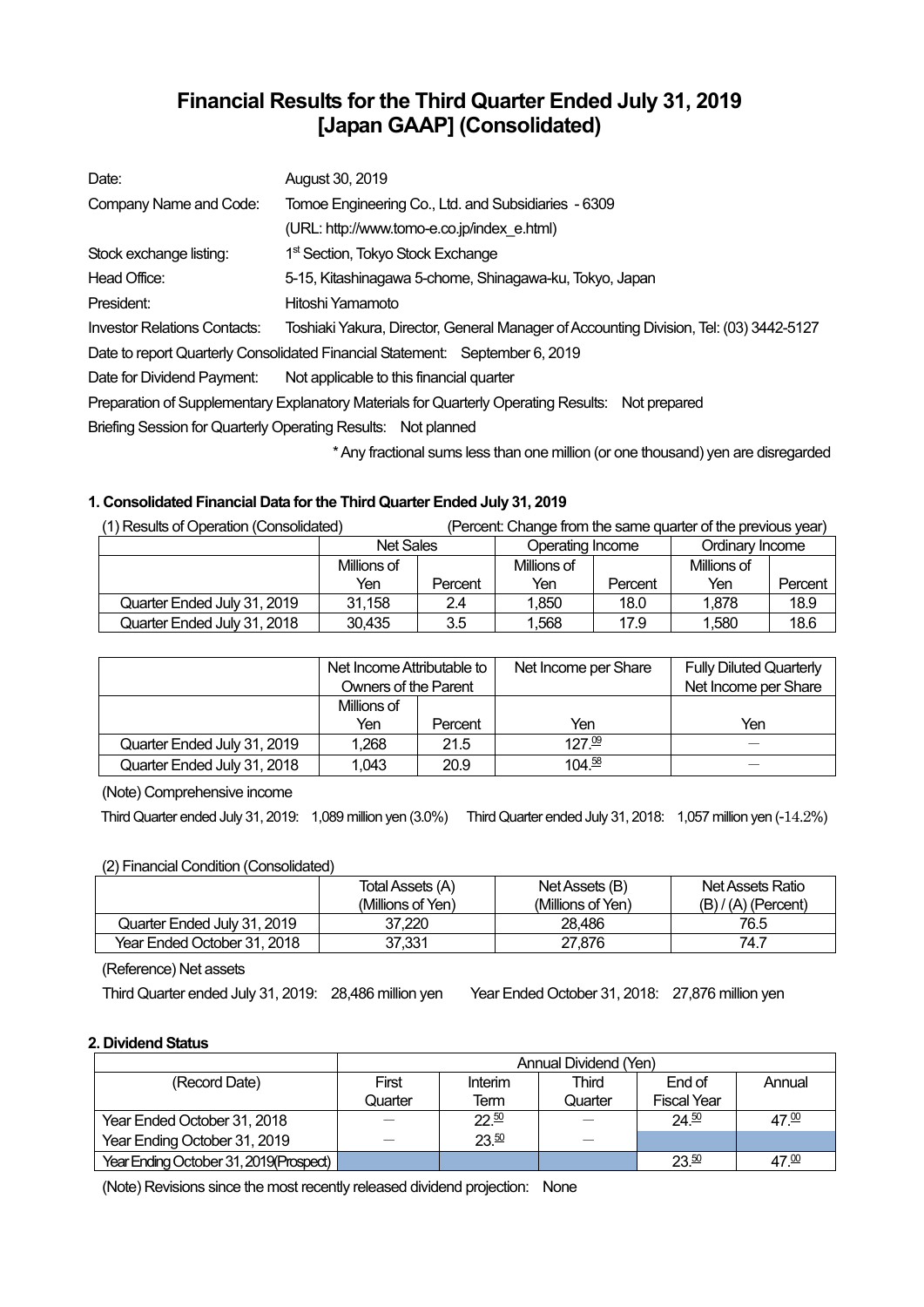# **Financial Results for the Third Quarter Ended July 31, 2019 [Japan GAAP] (Consolidated)**

| Date:                                                                                            | August 30, 2019                                                                                   |  |  |  |
|--------------------------------------------------------------------------------------------------|---------------------------------------------------------------------------------------------------|--|--|--|
| Company Name and Code:                                                                           | Tomoe Engineering Co., Ltd. and Subsidiaries - 6309                                               |  |  |  |
|                                                                                                  | (URL: http://www.tomo-e.co.jp/index e.html)                                                       |  |  |  |
| Stock exchange listing:                                                                          | 1 <sup>st</sup> Section, Tokyo Stock Exchange                                                     |  |  |  |
| Head Office:                                                                                     | 5-15, Kitashinagawa 5-chome, Shinagawa-ku, Tokyo, Japan                                           |  |  |  |
| President:                                                                                       | Hitoshi Yamamoto                                                                                  |  |  |  |
| <b>Investor Relations Contacts:</b>                                                              | Toshiaki Yakura, Director, General Manager of Accounting Division, Tel: (03) 3442-5127            |  |  |  |
|                                                                                                  | Date to report Quarterly Consolidated Financial Statement: September 6, 2019                      |  |  |  |
| Date for Dividend Payment:                                                                       | Not applicable to this financial quarter                                                          |  |  |  |
| Preparation of Supplementary Explanatory Materials for Quarterly Operating Results: Not prepared |                                                                                                   |  |  |  |
| Briefing Session for Quarterly Operating Results: Not planned                                    |                                                                                                   |  |  |  |
|                                                                                                  | * And the changed action to a common and model on the common and all common all common and common |  |  |  |

\* Any fractional sums less than one million (or one thousand) yen are disregarded

## **1. Consolidated Financial Data for the Third Quarter Ended July 31, 2019**

| (1) Results of Operation (Consolidated) | (Percent: Change from the same quarter of the previous year) |         |                  |         |                 |         |
|-----------------------------------------|--------------------------------------------------------------|---------|------------------|---------|-----------------|---------|
|                                         | <b>Net Sales</b>                                             |         | Operating Income |         | Ordinary Income |         |
|                                         | Millions of                                                  |         | Millions of      |         | Millions of     |         |
|                                         | Yen                                                          | Percent | Yen              | Percent | Yen             | Percent |
| Quarter Ended July 31, 2019             | 31,158                                                       | 2.4     | 1.850            | 18.0    | 1.878           | 18.9    |
| Quarter Ended July 31, 2018             | 30.435                                                       | 3.5     | 1.568            | 17.9    | 1,580           | 18.6    |

|                             | Net Income Attributable to<br><b>Owners of the Parent</b> |         | Net Income per Share | <b>Fully Diluted Quarterly</b><br>Net Income per Share |
|-----------------------------|-----------------------------------------------------------|---------|----------------------|--------------------------------------------------------|
|                             | Millions of                                               |         |                      |                                                        |
|                             | Yen                                                       | Percent | Yen                  | Yen                                                    |
| Quarter Ended July 31, 2019 | 1.268                                                     | 21.5    | $127^{09}$           |                                                        |
| Quarter Ended July 31, 2018 | 1.043                                                     | 20.9    | 104.58               |                                                        |

(Note) Comprehensive income

Third Quarter ended July 31, 2019: 1,089 million yen (3.0%) Third Quarter ended July 31, 2018: 1,057 million yen (-14.2%)

## (2) Financial Condition (Consolidated)

|                             | Total Assets (A)  | Net Assets (B)    | Net Assets Ratio      |
|-----------------------------|-------------------|-------------------|-----------------------|
|                             | (Millions of Yen) | (Millions of Yen) | $(B) / (A)$ (Percent) |
| Quarter Ended July 31, 2019 | 37.220            | 28.486            | 76.5                  |
| Year Ended October 31, 2018 | 37,331            | 27.876            | 74.7                  |

(Reference) Net assets

Third Quarter ended July 31, 2019: 28,486 million yen Year Ended October 31, 2018: 27,876 million yen

## **2. Dividend Status**

|                                        | Annual Dividend (Yen) |           |         |                    |        |  |
|----------------------------------------|-----------------------|-----------|---------|--------------------|--------|--|
| (Record Date)                          | First                 | Interim   | Third   | End of             | Annual |  |
|                                        | Quarter               | Term      | Quarter | <b>Fiscal Year</b> |        |  |
| Year Ended October 31, 2018            |                       | $22^{50}$ |         | 24.50              | 47.00  |  |
| Year Ending October 31, 2019           |                       | 23.50     |         |                    |        |  |
| Year Ending October 31, 2019(Prospect) |                       |           |         | 23.50              | 47.00  |  |

(Note) Revisions since the most recently released dividend projection: None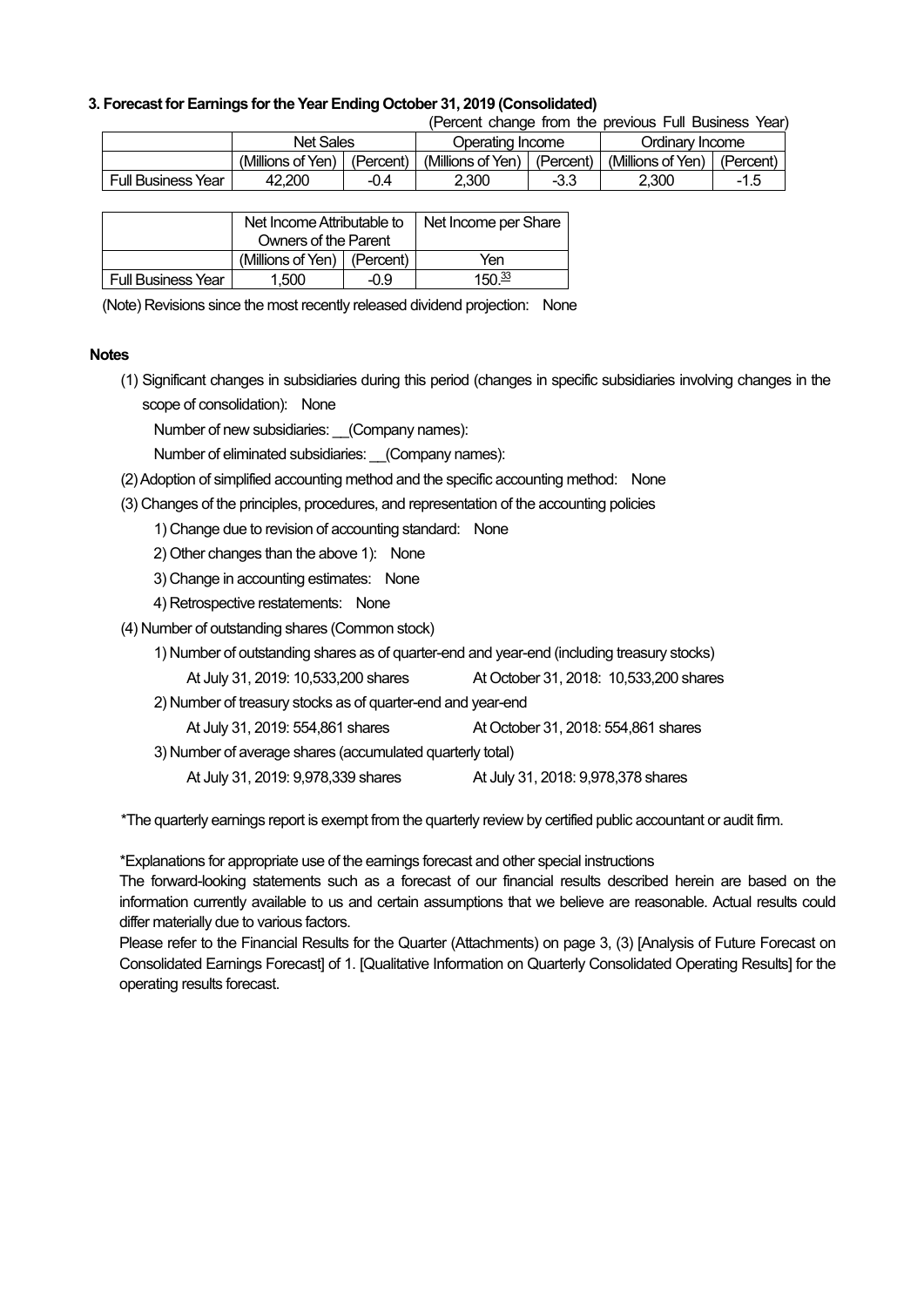## **3. Forecast for Earnings for the Year Ending October 31, 2019 (Consolidated)**

(Percent change from the previous Full Business Year)

|                           | Net Sales         |           | Operating Income  |           | Ordinary Income   |           |
|---------------------------|-------------------|-----------|-------------------|-----------|-------------------|-----------|
|                           | (Millions of Yen) | (Percent) | (Millions of Yen) | (Percent) | (Millions of Yen) | (Percent) |
| <b>Full Business Year</b> | 42.200            | -0.4      | 2.300             | -3.3      | 2.300             |           |

|                           | Net Income Attributable to    |  | Net Income per Share |
|---------------------------|-------------------------------|--|----------------------|
|                           | <b>Owners of the Parent</b>   |  |                      |
|                           | (Millions of Yen)   (Percent) |  | Yen                  |
| <b>Full Business Year</b> | 1.500<br>-09                  |  | 150 <sup>33</sup>    |

(Note) Revisions since the most recently released dividend projection: None

#### **Notes**

(1) Significant changes in subsidiaries during this period (changes in specific subsidiaries involving changes in the scope of consolidation): None

Number of new subsidiaries: \_\_(Company names):

Number of eliminated subsidiaries: (Company names):

- (2) Adoption of simplified accounting method and the specific accounting method: None
- (3) Changes of the principles, procedures, and representation of the accounting policies

1) Change due to revision of accounting standard: None

- 2) Other changes than the above 1): None
- 3) Change in accounting estimates: None
- 4) Retrospective restatements: None
- (4) Number of outstanding shares (Common stock)
	- 1) Number of outstanding shares as of quarter-end and year-end (including treasury stocks)
	- At July 31, 2019: 10,533,200 shares At October 31, 2018: 10,533,200 shares
	- 2) Number of treasury stocks as of quarter-end and year-end
		- At July 31, 2019: 554,861 shares At October 31, 2018: 554,861 shares
	- 3) Number of average shares (accumulated quarterly total)
		- At July 31, 2019: 9,978,339 shares At July 31, 2018: 9,978,378 shares

\*The quarterly earnings report is exempt from the quarterly review by certified public accountant or audit firm.

\*Explanations for appropriate use of the earnings forecast and other special instructions

The forward-looking statements such as a forecast of our financial results described herein are based on the information currently available to us and certain assumptions that we believe are reasonable. Actual results could differ materially due to various factors.

Please refer to the Financial Results for the Quarter (Attachments) on page 3, (3) [Analysis of Future Forecast on Consolidated Earnings Forecast] of 1. [Qualitative Information on Quarterly Consolidated Operating Results] for the operating results forecast.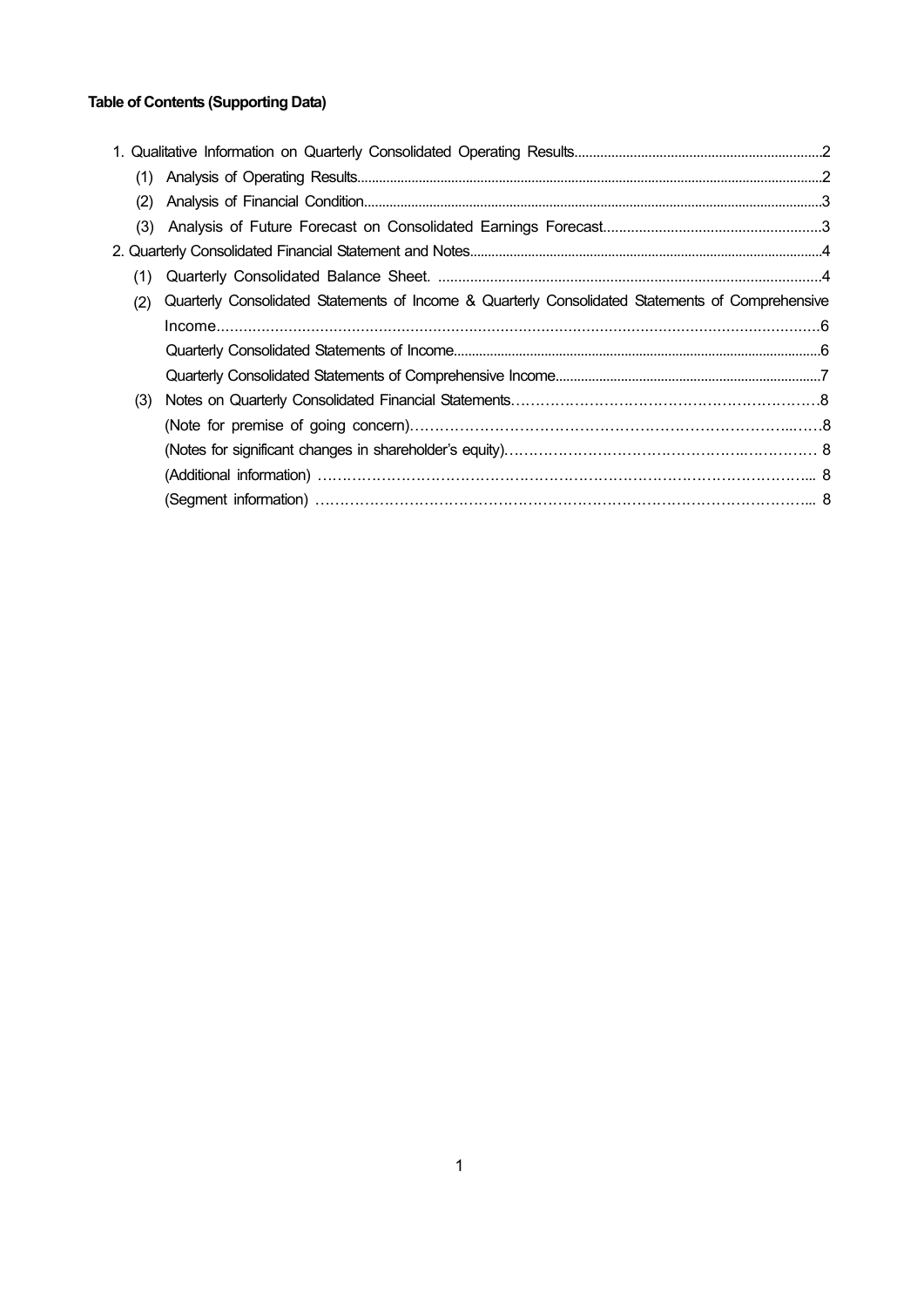## **Table of Contents (Supporting Data)**

| (2) |                                                                                                  |  |
|-----|--------------------------------------------------------------------------------------------------|--|
| (3) |                                                                                                  |  |
|     |                                                                                                  |  |
| (1) |                                                                                                  |  |
| (2) | Quarterly Consolidated Statements of Income & Quarterly Consolidated Statements of Comprehensive |  |
|     |                                                                                                  |  |
|     |                                                                                                  |  |
|     |                                                                                                  |  |
| (3) |                                                                                                  |  |
|     |                                                                                                  |  |
|     |                                                                                                  |  |
|     |                                                                                                  |  |
|     |                                                                                                  |  |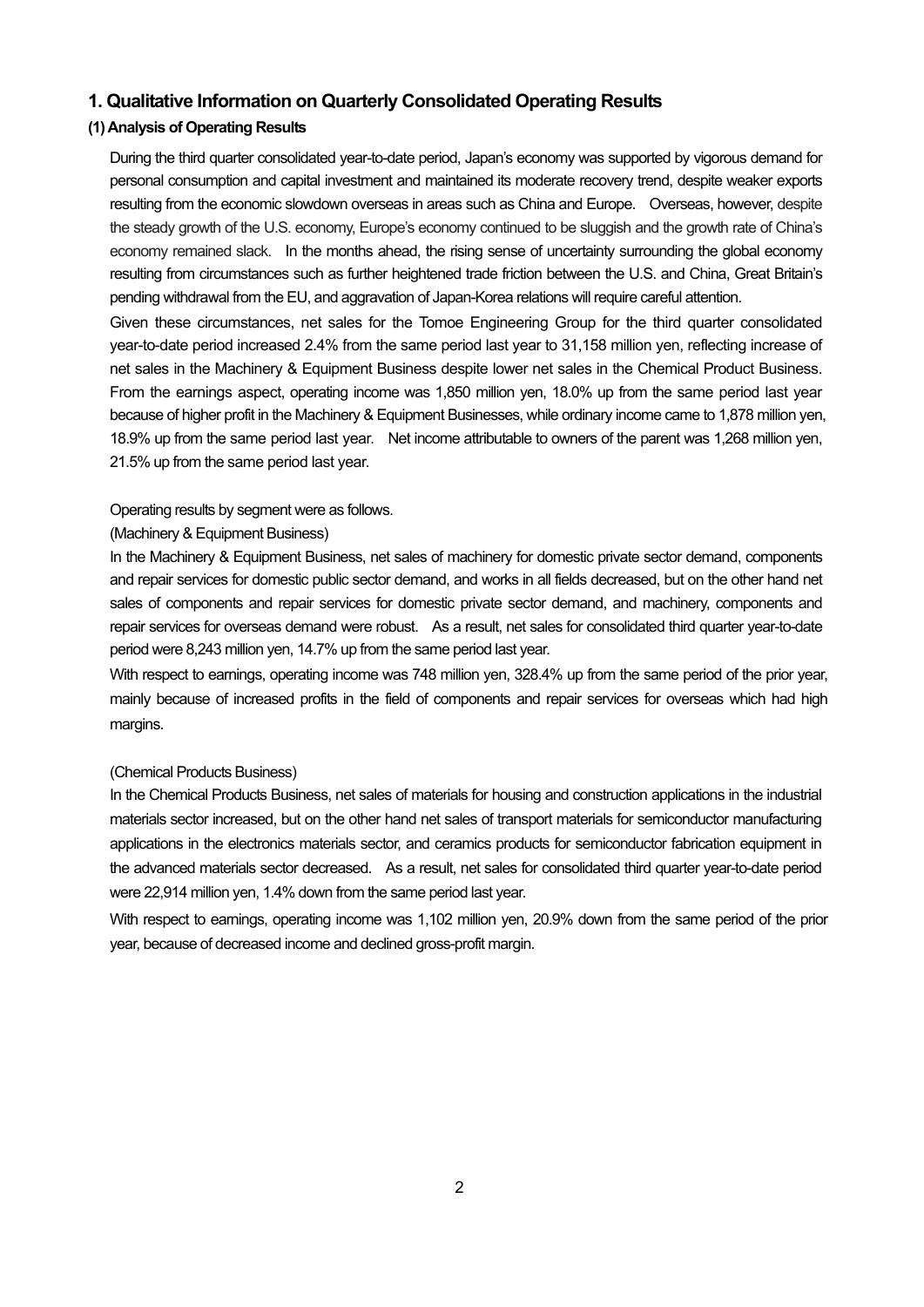## **1. Qualitative Information on Quarterly Consolidated Operating Results**

## **(1) Analysis of Operating Results**

During the third quarter consolidated year-to-date period, Japan's economy was supported by vigorous demand for personal consumption and capital investment and maintained its moderate recovery trend, despite weaker exports resulting from the economic slowdown overseas in areas such as China and Europe. Overseas, however, despite the steady growth of the U.S. economy, Europe's economy continued to be sluggish and the growth rate of China's economy remained slack. In the months ahead, the rising sense of uncertainty surrounding the global economy resulting from circumstances such as further heightened trade friction between the U.S. and China, Great Britain's pending withdrawal from the EU, and aggravation of Japan-Korea relations will require careful attention.

Given these circumstances, net sales for the Tomoe Engineering Group for the third quarter consolidated year-to-date period increased 2.4% from the same period last year to 31,158 million yen, reflecting increase of net sales in the Machinery & Equipment Business despite lower net sales in the Chemical Product Business. From the earnings aspect, operating income was 1,850 million yen, 18.0% up from the same period last year because of higher profit in the Machinery & Equipment Businesses, while ordinary income came to 1,878 million yen, 18.9% up from the same period last year. Net income attributable to owners of the parent was 1,268 million yen, 21.5% up from the same period last year.

#### Operating results by segment were as follows.

### (Machinery & Equipment Business)

In the Machinery & Equipment Business, net sales of machinery for domestic private sector demand, components and repair services for domestic public sector demand, and works in all fields decreased, but on the other hand net sales of components and repair services for domestic private sector demand, and machinery, components and repair services for overseas demand were robust. As a result, net sales for consolidated third quarter year-to-date period were 8,243 million yen, 14.7% up from the same period last year.

With respect to earnings, operating income was 748 million yen, 328.4% up from the same period of the prior year, mainly because of increased profits in the field of components and repair services for overseas which had high margins.

#### (Chemical Products Business)

In the Chemical Products Business, net sales of materials for housing and construction applications in the industrial materials sector increased, but on the other hand net sales of transport materials for semiconductor manufacturing applications in the electronics materials sector, and ceramics products for semiconductor fabrication equipment in the advanced materials sector decreased. As a result, net sales for consolidated third quarter year-to-date period were 22,914 million yen, 1.4% down from the same period last year.

With respect to earnings, operating income was 1,102 million yen, 20.9% down from the same period of the prior year, because of decreased income and declined gross-profit margin.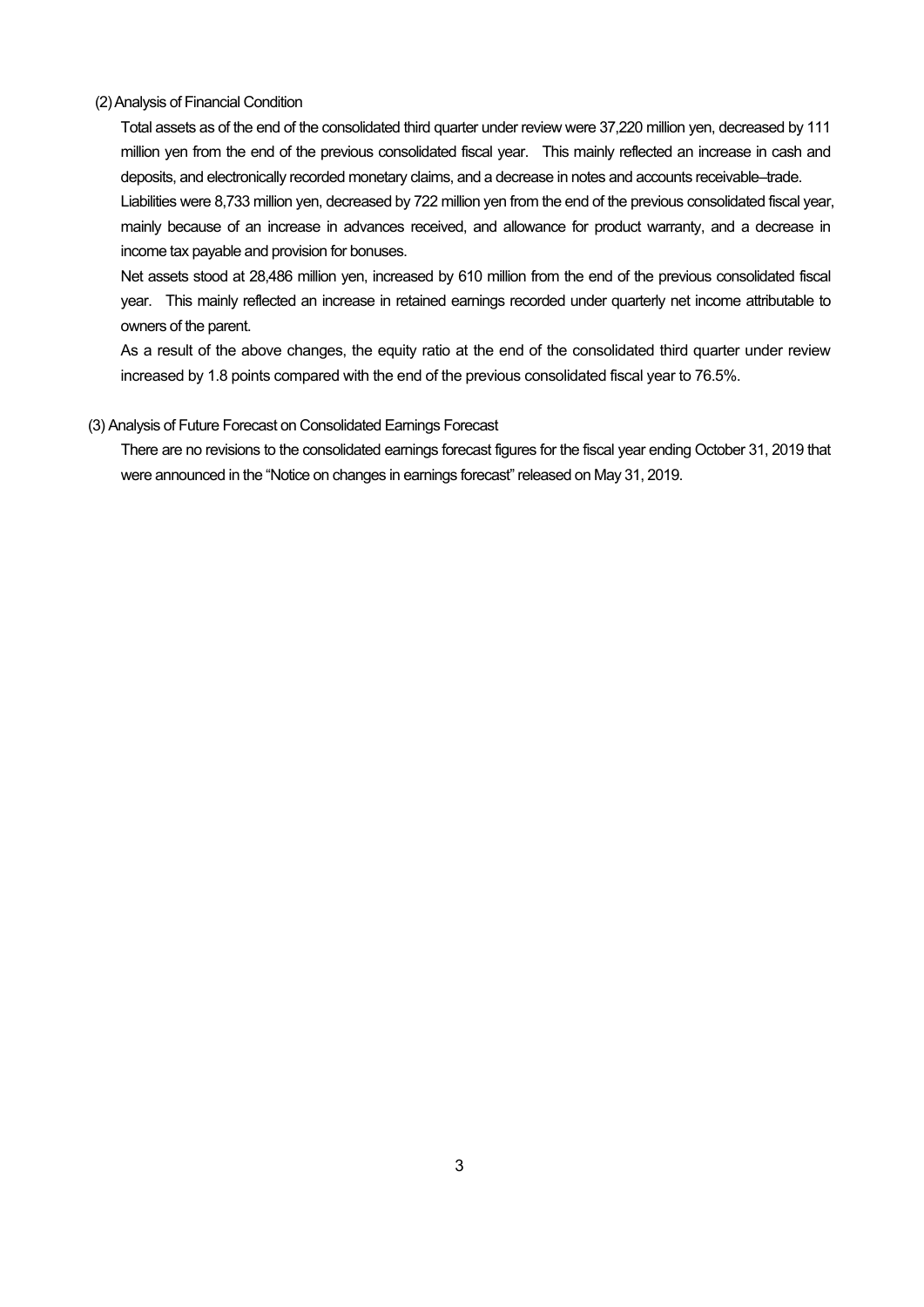#### (2) Analysis of Financial Condition

Total assets as of the end of the consolidated third quarter under review were 37,220 million yen, decreased by 111 million yen from the end of the previous consolidated fiscal year. This mainly reflected an increase in cash and deposits, and electronically recorded monetary claims, and a decrease in notes and accounts receivable–trade. Liabilities were 8,733 million yen, decreased by 722 million yen from the end of the previous consolidated fiscal year, mainly because of an increase in advances received, and allowance for product warranty, and a decrease in income tax payable and provision for bonuses.

Net assets stood at 28,486 million yen, increased by 610 million from the end of the previous consolidated fiscal year. This mainly reflected an increase in retained earnings recorded under quarterly net income attributable to owners of the parent.

As a result of the above changes, the equity ratio at the end of the consolidated third quarter under review increased by 1.8 points compared with the end of the previous consolidated fiscal year to 76.5%.

#### (3) Analysis of Future Forecast on Consolidated Earnings Forecast

There are no revisions to the consolidated earnings forecast figures for the fiscal year ending October 31, 2019 that were announced in the "Notice on changes in earnings forecast" released on May 31, 2019.